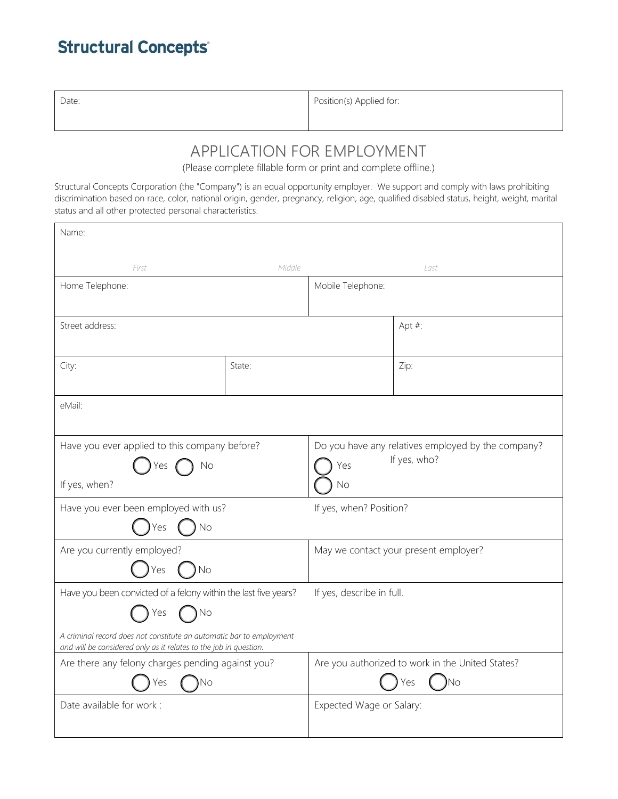## **Structural Concepts**

| Date: | Position(s) Applied for: |
|-------|--------------------------|
|       |                          |

## APPLICATION FOR EMPLOYMENT

(Please complete fillable form or print and complete offline.)

Structural Concepts Corporation (the "Company") is an equal opportunity employer. We support and comply with laws prohibiting discrimination based on race, color, national origin, gender, pregnancy, religion, age, qualified disabled status, height, weight, marital status and all other protected personal characteristics.

| Name:                                                                                                                                     |        |                                                    |  |  |
|-------------------------------------------------------------------------------------------------------------------------------------------|--------|----------------------------------------------------|--|--|
| First                                                                                                                                     | Middle | Last                                               |  |  |
| Home Telephone:                                                                                                                           |        | Mobile Telephone:                                  |  |  |
|                                                                                                                                           |        |                                                    |  |  |
| Street address:                                                                                                                           |        | Apt #:                                             |  |  |
| City:                                                                                                                                     | State: | Zip:                                               |  |  |
|                                                                                                                                           |        |                                                    |  |  |
| eMail:                                                                                                                                    |        |                                                    |  |  |
| Have you ever applied to this company before?                                                                                             |        | Do you have any relatives employed by the company? |  |  |
| No<br>Yes                                                                                                                                 |        | If yes, who?<br>Yes                                |  |  |
| If yes, when?                                                                                                                             |        | No                                                 |  |  |
| Have you ever been employed with us?                                                                                                      |        | If yes, when? Position?                            |  |  |
| No<br>es                                                                                                                                  |        |                                                    |  |  |
| Are you currently employed?                                                                                                               |        | May we contact your present employer?              |  |  |
| <b>No</b><br>Yes                                                                                                                          |        |                                                    |  |  |
| Have you been convicted of a felony within the last five years?                                                                           |        | If yes, describe in full.                          |  |  |
| <b>No</b><br>Yes                                                                                                                          |        |                                                    |  |  |
| A criminal record does not constitute an automatic bar to employment<br>and will be considered only as it relates to the job in question. |        |                                                    |  |  |
| Are there any felony charges pending against you?                                                                                         |        | Are you authorized to work in the United States?   |  |  |
| ıNo.<br>Yes                                                                                                                               |        | )No<br>Yes                                         |  |  |
| Date available for work:                                                                                                                  |        | Expected Wage or Salary:                           |  |  |
|                                                                                                                                           |        |                                                    |  |  |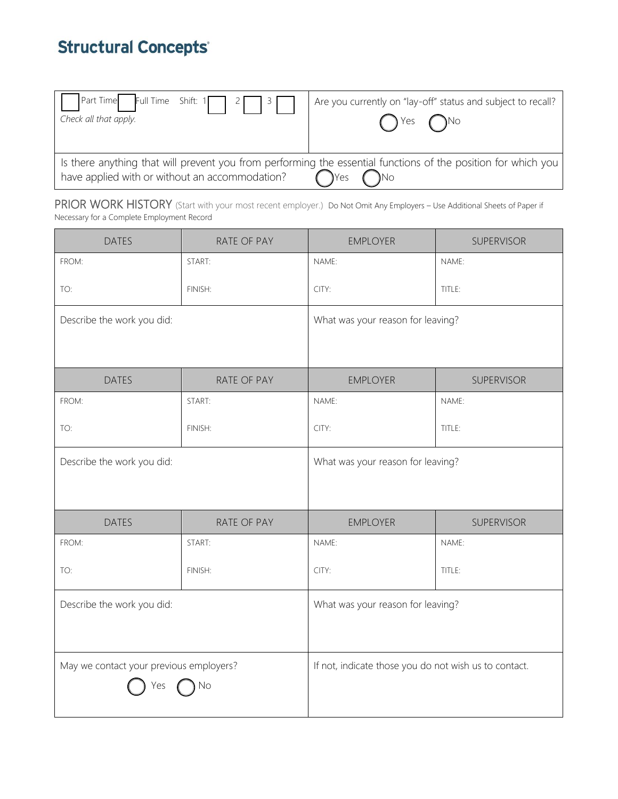# **Structural Concepts**

| $Part Time$ Full Time Shift: 1 2 3 3           | Are you currently on "lay-off" status and subject to recall?                                                                                |
|------------------------------------------------|---------------------------------------------------------------------------------------------------------------------------------------------|
| Check all that apply.                          | $()$ Yes $()$ No                                                                                                                            |
| have applied with or without an accommodation? | Is there anything that will prevent you from performing the essential functions of the position for which you<br>$\bigcap$ Yes<br>$\bigcap$ |

PRIOR WORK HISTORY (Start with your most recent employer.) Do Not Omit Any Employers - Use Additional Sheets of Paper if Necessary for a Complete Employment Record

| <b>DATES</b>                            | RATE OF PAY | <b>EMPLOYER</b>                                       | SUPERVISOR                        |  |
|-----------------------------------------|-------------|-------------------------------------------------------|-----------------------------------|--|
| FROM:                                   | START:      | NAME:                                                 | NAME:                             |  |
| TO:                                     | FINISH:     | CITY:                                                 | TITLE:                            |  |
| Describe the work you did:              |             |                                                       | What was your reason for leaving? |  |
| <b>DATES</b>                            | RATE OF PAY | <b>EMPLOYER</b>                                       | <b>SUPERVISOR</b>                 |  |
| FROM:                                   | START:      | NAME:                                                 | NAME:                             |  |
| TO:                                     | FINISH:     | CITY:                                                 | TITLE:                            |  |
| Describe the work you did:              |             | What was your reason for leaving?                     |                                   |  |
|                                         |             |                                                       |                                   |  |
| <b>DATES</b>                            | RATE OF PAY | <b>EMPLOYER</b>                                       | SUPERVISOR                        |  |
| FROM:                                   | START:      | NAME:                                                 | NAME:                             |  |
| TO:                                     | FINISH:     | CITY:                                                 | TITLE:                            |  |
| Describe the work you did:              |             | What was your reason for leaving?                     |                                   |  |
|                                         |             |                                                       |                                   |  |
| May we contact your previous employers? |             | If not, indicate those you do not wish us to contact. |                                   |  |
|                                         | No          |                                                       |                                   |  |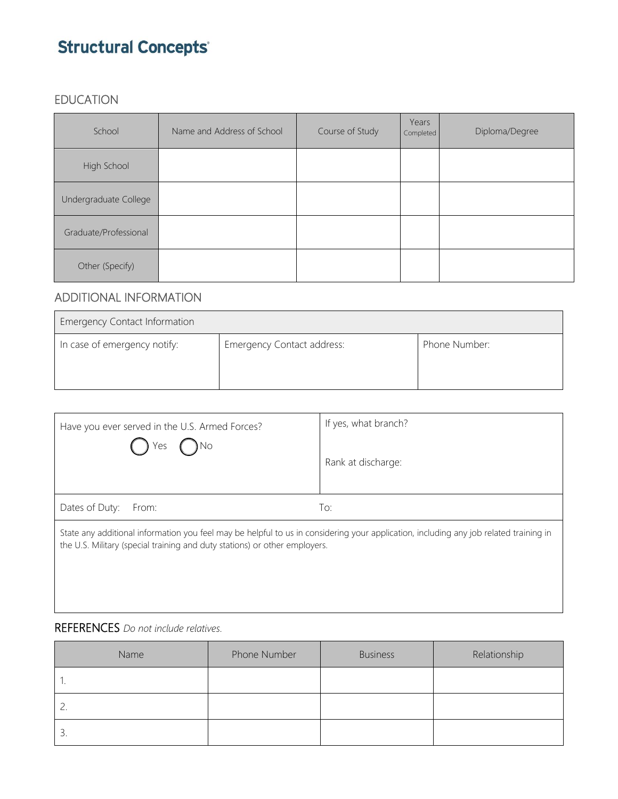# **Structural Concepts**

### EDUCATION

| School                | Name and Address of School | Course of Study | Years<br>Completed | Diploma/Degree |
|-----------------------|----------------------------|-----------------|--------------------|----------------|
| High School           |                            |                 |                    |                |
| Undergraduate College |                            |                 |                    |                |
| Graduate/Professional |                            |                 |                    |                |
| Other (Specify)       |                            |                 |                    |                |

### ADDITIONAL INFORMATION

| <b>Emergency Contact Information</b> |                            |               |
|--------------------------------------|----------------------------|---------------|
| In case of emergency notify:         | Emergency Contact address: | Phone Number: |

| Have you ever served in the U.S. Armed Forces?<br>) No<br>Yes                                                                                                                                                       | If yes, what branch? |  |
|---------------------------------------------------------------------------------------------------------------------------------------------------------------------------------------------------------------------|----------------------|--|
|                                                                                                                                                                                                                     | Rank at discharge:   |  |
| Dates of Duty: From:                                                                                                                                                                                                | To:                  |  |
| State any additional information you feel may be helpful to us in considering your application, including any job related training in<br>the U.S. Military (special training and duty stations) or other employers. |                      |  |

### REFERENCES *Do not include relatives.*

| Name     | Phone Number | <b>Business</b> | Relationship |
|----------|--------------|-----------------|--------------|
| . .      |              |                 |              |
| <u>.</u> |              |                 |              |
| 3.       |              |                 |              |